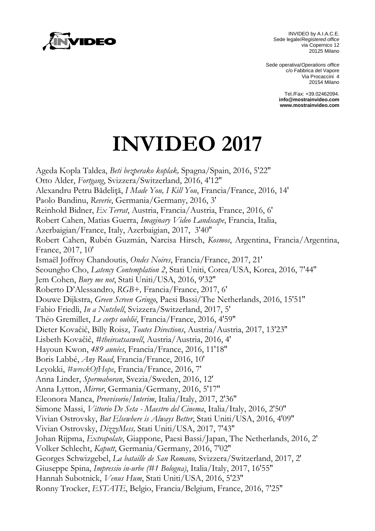

INVIDEO by A.I.A.C.E. Sede legale/*Registered office* via Copernico 12 20125 Milano

Sede operativa/*Operations office* c/o Fabbrica del Vapore Via Procaccini 4 20154 Milano

> Tel./Fax: +39.02462094. **[info@mostrainvideo.com](mailto:info@mostrainvideo.com) www.mostrainvideo.com**

## **INVIDEO 2017**

Ageda Kopla Taldea, *Beti bezperako koplak,* Spagna/Spain, 2016, 5'22'' Otto Alder, *Fortgang*, Svizzera/Switzerland, 2016, 4'12'' Alexandru Petru Bădeliţă, *I Made You, I Kill You*, Francia/France, 2016, 14' Paolo Bandinu, *Reverie*, Germania/Germany, 2016, 3' Reinhold Bidner, *Ex Terrat*, Austria, Francia/Austria, France, 2016, 6' Robert Cahen, Matias Guerra, *Imaginary Video Landscape*, Francia, Italia, Azerbaigian/France, Italy, Azerbaigian, 2017, 3'40'' Robert Cahen, Rubén Guzmán, Narcisa Hirsch, *Kosmos*, Argentina, Francia/Argentina, France, 2017, 10' Ismaël Joffroy Chandoutis, *Ondes Noires*, Francia/France, 2017, 21' Seoungho Cho, *Latency Contemplation 2*, Stati Uniti, Corea/USA, Korea, 2016, 7'44'' Jem Cohen, *Bury me not*, Stati Uniti/USA, 2016, 9'32'' Roberto D'Alessandro, *RGB+,* Francia/France, 2017, 6' Douwe Dijkstra, *Green Screen Gringo*, Paesi Bassi/The Netherlands, 2016, 15'51'' Fabio Friedli, *In a Nutshell*, Svizzera/Switzerland, 2017, 5' Théo Gremillet, *Le corps oublié*, Francia/France, 2016, 4'59'' Dieter Kovaĉiĉ, Billy Roisz, *Toutes Directions*, Austria/Austria, 2017, 13'23'' Lisbeth Kovaĉiĉ, *#theircatsaswell*, Austria/Austria, 2016, 4' Hayoun Kwon, *489 années*, Francia/France, 2016, 11'18'' Boris Labbé, *Any Road*, Francia/France, 2016, 10' Leyokki, *#wreckOfHope*, Francia/France, 2016, 7' Anna Linder, *Spermahoran*, Svezia/Sweden, 2016, 12' Anna Lytton, *Mirror*, Germania/Germany, 2016, 5'17'' Eleonora Manca, *Provvisorio/Interim*, Italia/Italy, 2017, 2'36'' Simone Massi, *Vittorio De Seta - Maestro del Cinema*, Italia/Italy, 2016, 2'50'' Vivian Ostrovsky, *But Elsewhere is Always Better*, Stati Uniti/USA, 2016, 4'09'' Vivian Ostrovsky, *DizzyMess,* Stati Uniti/USA, 2017, 7'43'' Johan Rijpma, *Extrapolate*, Giappone, Paesi Bassi/Japan, The Netherlands, 2016, 2' Volker Schlecht, *Kaputt*, Germania/Germany, 2016, 7'02'' Georges Schwizgebel, *La bataille de San Romano,* Svizzera/Switzerland, 2017, 2' Giuseppe Spina, *Impressio in-urbe (#1 Bologna)*, Italia/Italy, 2017, 16'55'' Hannah Subotnick, *Venus Hum*, Stati Uniti/USA, 2016, 5'23'' Ronny Trocker, *ESTATE*, Belgio, Francia/Belgium, France, 2016, 7'25''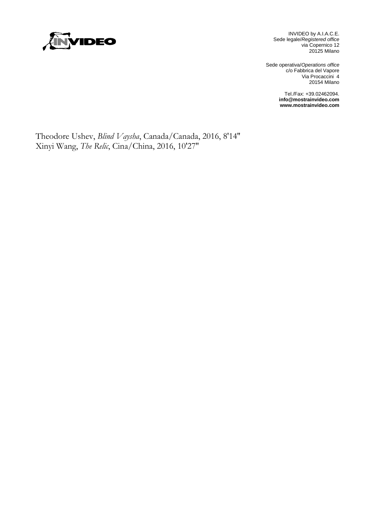

INVIDEO by A.I.A.C.E. Sede legale/*Registered office* via Copernico 12 20125 Milano

Sede operativa/*Operations office* c/o Fabbrica del Vapore Via Procaccini 4 20154 Milano

> Tel./Fax: +39.02462094. **[info@mostrainvideo.com](mailto:info@mostrainvideo.com) www.mostrainvideo.com**

Theodore Ushev, *Blind Vaysha*, Canada/Canada, 2016, 8'14'' Xinyi Wang, *The Relic*, Cina/China, 2016, 10'27''